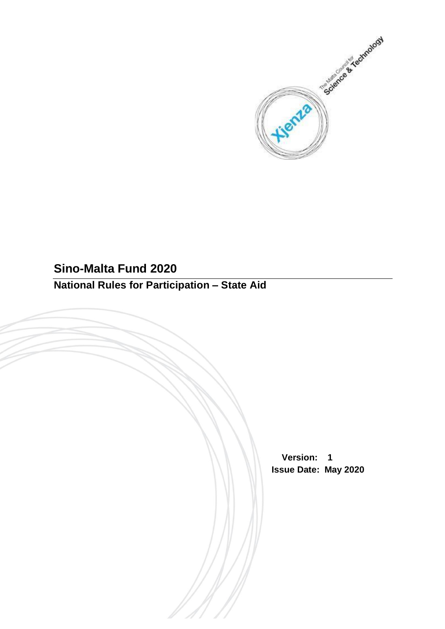

# **Sino-Malta Fund 2020**

# **National Rules for Participation – State Aid**

 **Version: 1 Issue Date: May 2020**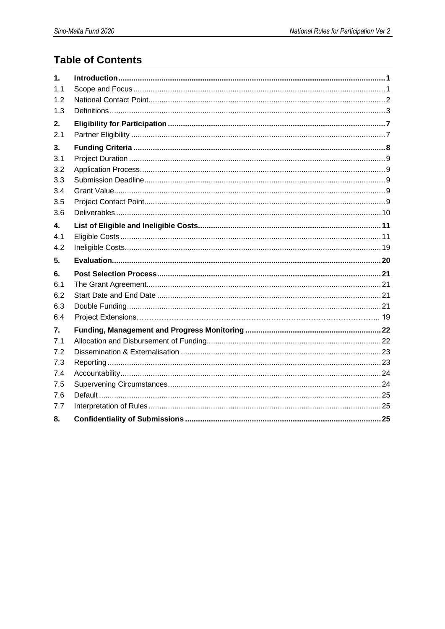## **Table of Contents**

| 1.  |  |
|-----|--|
| 1.1 |  |
| 1.2 |  |
| 1.3 |  |
| 2.  |  |
| 2.1 |  |
| 3.  |  |
| 3.1 |  |
| 3.2 |  |
| 3.3 |  |
| 3.4 |  |
| 3.5 |  |
| 3.6 |  |
| 4.  |  |
| 4.1 |  |
| 4.2 |  |
|     |  |
| 5.  |  |
| 6.  |  |
| 6.1 |  |
| 6.2 |  |
| 6.3 |  |
| 6.4 |  |
| 7.  |  |
| 7.1 |  |
| 7.2 |  |
| 7.3 |  |
| 7.4 |  |
| 7.5 |  |
| 7.6 |  |
| 7.7 |  |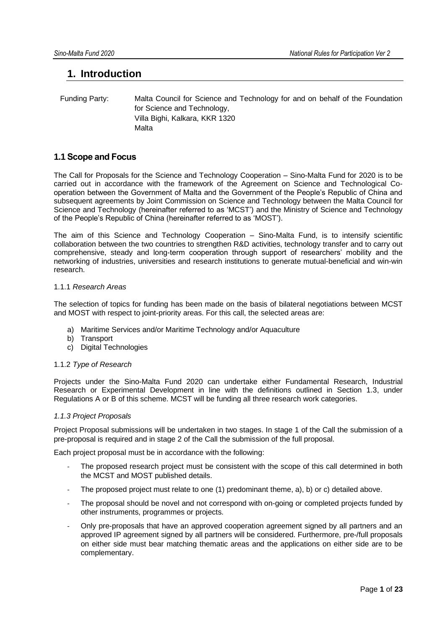## <span id="page-2-0"></span>**1. Introduction**

 Funding Party: Malta Council for Science and Technology for and on behalf of the Foundation for Science and Technology, Villa Bighi, Kalkara, KKR 1320 Malta

## <span id="page-2-1"></span>**1.1 Scope and Focus**

The Call for Proposals for the Science and Technology Cooperation – Sino-Malta Fund for 2020 is to be carried out in accordance with the framework of the Agreement on Science and Technological Cooperation between the Government of Malta and the Government of the People's Republic of China and subsequent agreements by Joint Commission on Science and Technology between the Malta Council for Science and Technology (hereinafter referred to as 'MCST') and the Ministry of Science and Technology of the People's Republic of China (hereinafter referred to as 'MOST').

The aim of this Science and Technology Cooperation – Sino-Malta Fund, is to intensify scientific collaboration between the two countries to strengthen R&D activities, technology transfer and to carry out comprehensive, steady and long-term cooperation through support of researchers' mobility and the networking of industries, universities and research institutions to generate mutual-beneficial and win-win research.

#### 1.1.1 *Research Areas*

The selection of topics for funding has been made on the basis of bilateral negotiations between MCST and MOST with respect to joint-priority areas. For this call, the selected areas are:

- a) Maritime Services and/or Maritime Technology and/or Aquaculture
- b) Transport
- c) Digital Technologies

#### 1.1.2 *Type of Research*

Projects under the Sino-Malta Fund 2020 can undertake either Fundamental Research, Industrial Research or Experimental Development in line with the definitions outlined in Section 1.3, under Regulations A or B of this scheme. MCST will be funding all three research work categories.

#### *1.1.3 Project Proposals*

Project Proposal submissions will be undertaken in two stages. In stage 1 of the Call the submission of a pre-proposal is required and in stage 2 of the Call the submission of the full proposal.

Each project proposal must be in accordance with the following:

- The proposed research project must be consistent with the scope of this call determined in both the MCST and MOST published details.
- The proposed project must relate to one (1) predominant theme, a), b) or c) detailed above.
- The proposal should be novel and not correspond with on-going or completed projects funded by other instruments, programmes or projects.
- Only pre-proposals that have an approved cooperation agreement signed by all partners and an approved IP agreement signed by all partners will be considered. Furthermore, pre-/full proposals on either side must bear matching thematic areas and the applications on either side are to be complementary.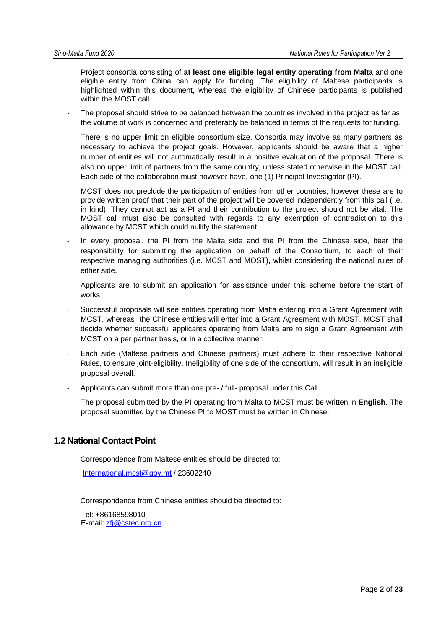- Project consortia consisting of **at least one eligible legal entity operating from Malta** and one eligible entity from China can apply for funding. The eligibility of Maltese participants is highlighted within this document, whereas the eligibility of Chinese participants is published within the MOST call.
- The proposal should strive to be balanced between the countries involved in the project as far as the volume of work is concerned and preferably be balanced in terms of the requests for funding.
- There is no upper limit on eligible consortium size. Consortia may involve as many partners as necessary to achieve the project goals. However, applicants should be aware that a higher number of entities will not automatically result in a positive evaluation of the proposal. There is also no upper limit of partners from the same country, unless stated otherwise in the MOST call. Each side of the collaboration must however have, one (1) Principal Investigator (PI).
- MCST does not preclude the participation of entities from other countries, however these are to provide written proof that their part of the project will be covered independently from this call (i.e. in kind). They cannot act as a PI and their contribution to the project should not be vital. The MOST call must also be consulted with regards to any exemption of contradiction to this allowance by MCST which could nullify the statement.
- In every proposal, the PI from the Malta side and the PI from the Chinese side, bear the responsibility for submitting the application on behalf of the Consortium, to each of their respective managing authorities (i.e. MCST and MOST), whilst considering the national rules of either side.
- Applicants are to submit an application for assistance under this scheme before the start of works.
- Successful proposals will see entities operating from Malta entering into a Grant Agreement with MCST, whereas the Chinese entities will enter into a Grant Agreement with MOST. MCST shall decide whether successful applicants operating from Malta are to sign a Grant Agreement with MCST on a per partner basis, or in a collective manner.
- Each side (Maltese partners and Chinese partners) must adhere to their respective National Rules, to ensure joint-eligibility. Ineligibility of one side of the consortium, will result in an ineligible proposal overall.
- Applicants can submit more than one pre- / full- proposal under this Call.
- The proposal submitted by the PI operating from Malta to MCST must be written in **English**. The proposal submitted by the Chinese PI to MOST must be written in Chinese.

## <span id="page-3-0"></span>**1.2 National Contact Point**

Correspondence from Maltese entities should be directed to:

[International.mcst@gov.mt](mailto:International.mcst@gov.mt) / 23602240

Correspondence from Chinese entities should be directed to:

 Tel: +86168598010 E-mail: [zfj@cstec.org.cn](mailto:zfj@cstec.org.cn)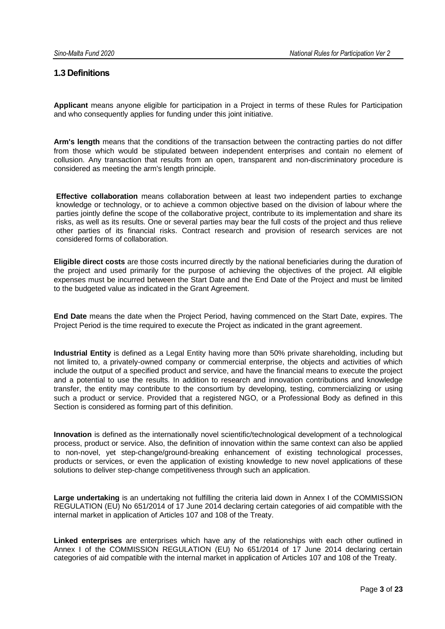### <span id="page-4-0"></span>**1.3 Definitions**

**Applicant** means anyone eligible for participation in a Project in terms of these Rules for Participation and who consequently applies for funding under this joint initiative.

**Arm's length** means that the conditions of the transaction between the contracting parties do not differ from those which would be stipulated between independent enterprises and contain no element of collusion. Any transaction that results from an open, transparent and non-discriminatory procedure is considered as meeting the arm's length principle.

**Effective collaboration** means collaboration between at least two independent parties to exchange knowledge or technology, or to achieve a common objective based on the division of labour where the parties jointly define the scope of the collaborative project, contribute to its implementation and share its risks, as well as its results. One or several parties may bear the full costs of the project and thus relieve other parties of its financial risks. Contract research and provision of research services are not considered forms of collaboration.

**Eligible direct costs** are those costs incurred directly by the national beneficiaries during the duration of the project and used primarily for the purpose of achieving the objectives of the project. All eligible expenses must be incurred between the Start Date and the End Date of the Project and must be limited to the budgeted value as indicated in the Grant Agreement.

**End Date** means the date when the Project Period, having commenced on the Start Date, expires. The Project Period is the time required to execute the Project as indicated in the grant agreement.

**Industrial Entity** is defined as a Legal Entity having more than 50% private shareholding, including but not limited to, a privately-owned company or commercial enterprise, the objects and activities of which include the output of a specified product and service, and have the financial means to execute the project and a potential to use the results. In addition to research and innovation contributions and knowledge transfer, the entity may contribute to the consortium by developing, testing, commercializing or using such a product or service. Provided that a registered NGO, or a Professional Body as defined in this Section is considered as forming part of this definition.

**Innovation** is defined as the internationally novel scientific/technological development of a technological process, product or service. Also, the definition of innovation within the same context can also be applied to non-novel, yet step-change/ground-breaking enhancement of existing technological processes, products or services, or even the application of existing knowledge to new novel applications of these solutions to deliver step-change competitiveness through such an application.

**Large undertaking** is an undertaking not fulfilling the criteria laid down in Annex I of the COMMISSION REGULATION (EU) No 651/2014 of 17 June 2014 declaring certain categories of aid compatible with the internal market in application of Articles 107 and 108 of the Treaty.

**Linked enterprises** are enterprises which have any of the relationships with each other outlined in Annex I of the COMMISSION REGULATION (EU) No 651/2014 of 17 June 2014 declaring certain categories of aid compatible with the internal market in application of Articles 107 and 108 of the Treaty.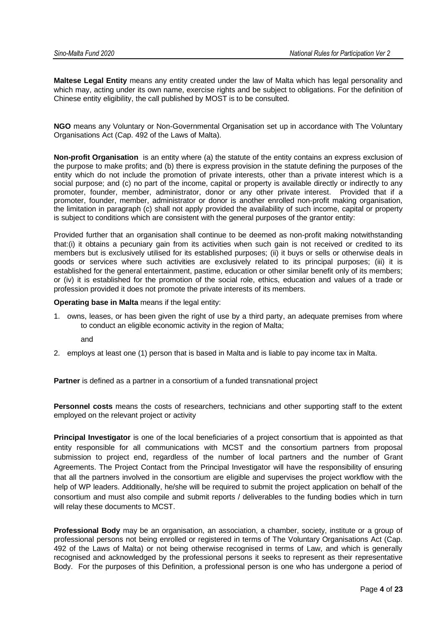**Maltese Legal Entity** means any entity created under the law of Malta which has legal personality and which may, acting under its own name, exercise rights and be subject to obligations. For the definition of Chinese entity eligibility, the call published by MOST is to be consulted.

**NGO** means any Voluntary or Non-Governmental Organisation set up in accordance with The Voluntary Organisations Act (Cap. 492 of the Laws of Malta).

**Non-profit Organisation** is an entity where (a) the statute of the entity contains an express exclusion of the purpose to make profits; and (b) there is express provision in the statute defining the purposes of the entity which do not include the promotion of private interests, other than a private interest which is a social purpose; and (c) no part of the income, capital or property is available directly or indirectly to any promoter, founder, member, administrator, donor or any other private interest. Provided that if a promoter, founder, member, administrator or donor is another enrolled non-profit making organisation, the limitation in paragraph (c) shall not apply provided the availability of such income, capital or property is subject to conditions which are consistent with the general purposes of the grantor entity:

Provided further that an organisation shall continue to be deemed as non-profit making notwithstanding that:(i) it obtains a pecuniary gain from its activities when such gain is not received or credited to its members but is exclusively utilised for its established purposes; (ii) it buys or sells or otherwise deals in goods or services where such activities are exclusively related to its principal purposes; (iii) it is established for the general entertainment, pastime, education or other similar benefit only of its members; or (iv) it is established for the promotion of the social role, ethics, education and values of a trade or profession provided it does not promote the private interests of its members.

**Operating base in Malta** means if the legal entity:

1. owns, leases, or has been given the right of use by a third party, an adequate premises from where to conduct an eligible economic activity in the region of Malta;

and

2. employs at least one (1) person that is based in Malta and is liable to pay income tax in Malta.

**Partner** is defined as a partner in a consortium of a funded transnational project

**Personnel costs** means the costs of researchers, technicians and other supporting staff to the extent employed on the relevant project or activity

**Principal Investigator** is one of the local beneficiaries of a project consortium that is appointed as that entity responsible for all communications with MCST and the consortium partners from proposal submission to project end, regardless of the number of local partners and the number of Grant Agreements. The Project Contact from the Principal Investigator will have the responsibility of ensuring that all the partners involved in the consortium are eligible and supervises the project workflow with the help of WP leaders. Additionally, he/she will be required to submit the project application on behalf of the consortium and must also compile and submit reports / deliverables to the funding bodies which in turn will relay these documents to MCST.

**Professional Body** may be an organisation, an association, a chamber, society, institute or a group of professional persons not being enrolled or registered in terms of The Voluntary Organisations Act (Cap. 492 of the Laws of Malta) or not being otherwise recognised in terms of Law, and which is generally recognised and acknowledged by the professional persons it seeks to represent as their representative Body. For the purposes of this Definition, a professional person is one who has undergone a period of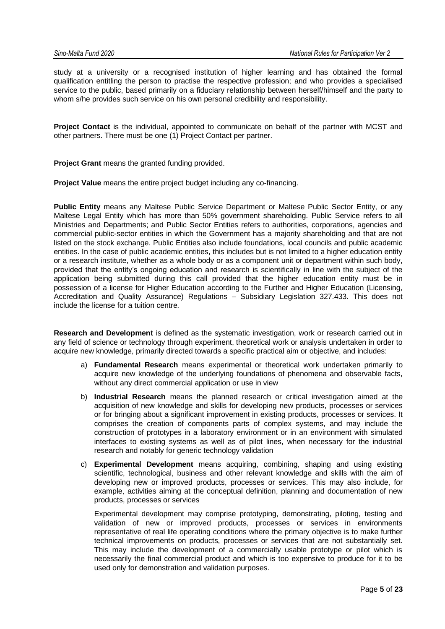study at a university or a recognised institution of higher learning and has obtained the formal qualification entitling the person to practise the respective profession; and who provides a specialised service to the public, based primarily on a fiduciary relationship between herself/himself and the party to whom s/he provides such service on his own personal credibility and responsibility.

**Project Contact** is the individual, appointed to communicate on behalf of the partner with MCST and other partners. There must be one (1) Project Contact per partner.

**Project Grant** means the granted funding provided.

**Project Value** means the entire project budget including any co-financing.

**Public Entity** means any Maltese Public Service Department or Maltese Public Sector Entity, or any Maltese Legal Entity which has more than 50% government shareholding. Public Service refers to all Ministries and Departments; and Public Sector Entities refers to authorities, corporations, agencies and commercial public-sector entities in which the Government has a majority shareholding and that are not listed on the stock exchange. Public Entities also include foundations, local councils and public academic entities. In the case of public academic entities, this includes but is not limited to a higher education entity or a research institute, whether as a whole body or as a component unit or department within such body, provided that the entity's ongoing education and research is scientifically in line with the subject of the application being submitted during this call provided that the higher education entity must be in possession of a license for Higher Education according to the Further and Higher Education (Licensing, Accreditation and Quality Assurance) Regulations – Subsidiary Legislation 327.433. This does not include the license for a tuition centre.

**Research and Development** is defined as the systematic investigation, work or research carried out in any field of science or technology through experiment, theoretical work or analysis undertaken in order to acquire new knowledge, primarily directed towards a specific practical aim or objective, and includes:

- a) **Fundamental Research** means experimental or theoretical work undertaken primarily to acquire new knowledge of the underlying foundations of phenomena and observable facts, without any direct commercial application or use in view
- b) **Industrial Research** means the planned research or critical investigation aimed at the acquisition of new knowledge and skills for developing new products, processes or services or for bringing about a significant improvement in existing products, processes or services. It comprises the creation of components parts of complex systems, and may include the construction of prototypes in a laboratory environment or in an environment with simulated interfaces to existing systems as well as of pilot lines, when necessary for the industrial research and notably for generic technology validation
- c) **Experimental Development** means acquiring, combining, shaping and using existing scientific, technological, business and other relevant knowledge and skills with the aim of developing new or improved products, processes or services. This may also include, for example, activities aiming at the conceptual definition, planning and documentation of new products, processes or services

Experimental development may comprise prototyping, demonstrating, piloting, testing and validation of new or improved products, processes or services in environments representative of real life operating conditions where the primary objective is to make further technical improvements on products, processes or services that are not substantially set. This may include the development of a commercially usable prototype or pilot which is necessarily the final commercial product and which is too expensive to produce for it to be used only for demonstration and validation purposes.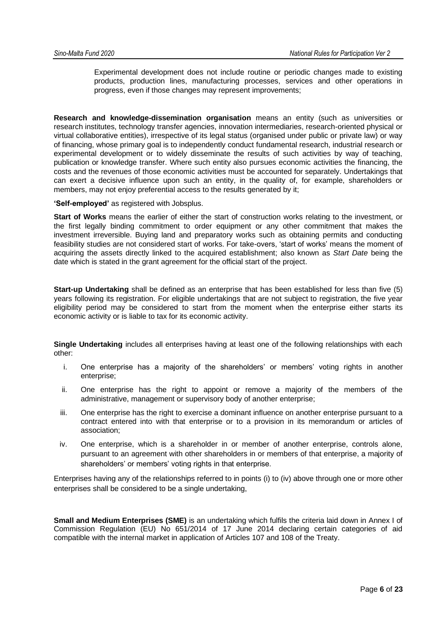Experimental development does not include routine or periodic changes made to existing products, production lines, manufacturing processes, services and other operations in progress, even if those changes may represent improvements;

**Research and knowledge-dissemination organisation** means an entity (such as universities or research institutes, technology transfer agencies, innovation intermediaries, research-oriented physical or virtual collaborative entities), irrespective of its legal status (organised under public or private law) or way of financing, whose primary goal is to independently conduct fundamental research, industrial research or experimental development or to widely disseminate the results of such activities by way of teaching, publication or knowledge transfer. Where such entity also pursues economic activities the financing, the costs and the revenues of those economic activities must be accounted for separately. Undertakings that can exert a decisive influence upon such an entity, in the quality of, for example, shareholders or members, may not enjoy preferential access to the results generated by it;

**'Self-employed'** as registered with Jobsplus.

**Start of Works** means the earlier of either the start of construction works relating to the investment, or the first legally binding commitment to order equipment or any other commitment that makes the investment irreversible. Buying land and preparatory works such as obtaining permits and conducting feasibility studies are not considered start of works. For take-overs, 'start of works' means the moment of acquiring the assets directly linked to the acquired establishment; also known as *Start Date* being the date which is stated in the grant agreement for the official start of the project.

**Start-up Undertaking** shall be defined as an enterprise that has been established for less than five (5) years following its registration. For eligible undertakings that are not subject to registration, the five year eligibility period may be considered to start from the moment when the enterprise either starts its economic activity or is liable to tax for its economic activity.

**Single Undertaking** includes all enterprises having at least one of the following relationships with each other:

- i. One enterprise has a majority of the shareholders' or members' voting rights in another enterprise;
- ii. One enterprise has the right to appoint or remove a majority of the members of the administrative, management or supervisory body of another enterprise;
- iii. One enterprise has the right to exercise a dominant influence on another enterprise pursuant to a contract entered into with that enterprise or to a provision in its memorandum or articles of association;
- iv. One enterprise, which is a shareholder in or member of another enterprise, controls alone, pursuant to an agreement with other shareholders in or members of that enterprise, a majority of shareholders' or members' voting rights in that enterprise.

Enterprises having any of the relationships referred to in points (i) to (iv) above through one or more other enterprises shall be considered to be a single undertaking,

**Small and Medium Enterprises (SME)** is an undertaking which fulfils the criteria laid down in Annex I of Commission Regulation (EU) No 651/2014 of 17 June 2014 declaring certain categories of aid compatible with the internal market in application of Articles 107 and 108 of the Treaty.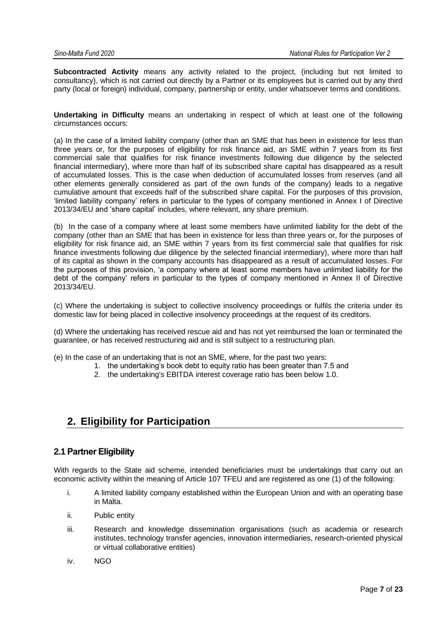**Subcontracted Activity** means any activity related to the project, (including but not limited to consultancy), which is not carried out directly by a Partner or its employees but is carried out by any third party (local or foreign) individual, company, partnership or entity, under whatsoever terms and conditions.

**Undertaking in Difficulty** means an undertaking in respect of which at least one of the following circumstances occurs:

(a) In the case of a limited liability company (other than an SME that has been in existence for less than three years or, for the purposes of eligibility for risk finance aid, an SME within 7 years from its first commercial sale that qualifies for risk finance investments following due diligence by the selected financial intermediary), where more than half of its subscribed share capital has disappeared as a result of accumulated losses. This is the case when deduction of accumulated losses from reserves (and all other elements generally considered as part of the own funds of the company) leads to a negative cumulative amount that exceeds half of the subscribed share capital. For the purposes of this provision, 'limited liability company' refers in particular to the types of company mentioned in Annex I of Directive 2013/34/EU and 'share capital' includes, where relevant, any share premium.

(b) In the case of a company where at least some members have unlimited liability for the debt of the company (other than an SME that has been in existence for less than three years or, for the purposes of eligibility for risk finance aid, an SME within 7 years from its first commercial sale that qualifies for risk finance investments following due diligence by the selected financial intermediary), where more than half of its capital as shown in the company accounts has disappeared as a result of accumulated losses. For the purposes of this provision, 'a company where at least some members have unlimited liability for the debt of the company' refers in particular to the types of company mentioned in Annex II of Directive 2013/34/EU.

(c) Where the undertaking is subject to collective insolvency proceedings or fulfils the criteria under its domestic law for being placed in collective insolvency proceedings at the request of its creditors.

(d) Where the undertaking has received rescue aid and has not yet reimbursed the loan or terminated the guarantee, or has received restructuring aid and is still subject to a restructuring plan.

(e) In the case of an undertaking that is not an SME, where, for the past two years:

- 1. the undertaking's book debt to equity ratio has been greater than 7.5 and
- 2. the undertaking's EBITDA interest coverage ratio has been below 1.0.

## <span id="page-8-0"></span>**2. Eligibility for Participation**

### <span id="page-8-1"></span>**2.1 Partner Eligibility**

With regards to the State aid scheme, intended beneficiaries must be undertakings that carry out an economic activity within the meaning of Article 107 TFEU and are registered as one (1) of the following:

- i. A limited liability company established within the European Union and with an operating base in Malta.
- ii. Public entity
- iii. Research and knowledge dissemination organisations (such as academia or research institutes, technology transfer agencies, innovation intermediaries, research-oriented physical or virtual collaborative entities)
- iv. NGO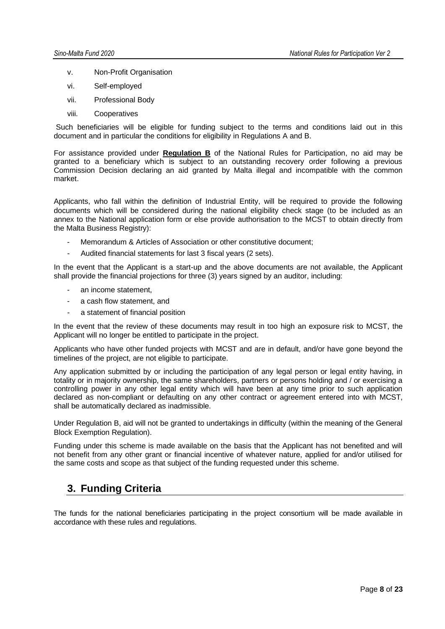- v. Non-Profit Organisation
- vi. Self-employed
- vii. Professional Body
- viii. Cooperatives

Such beneficiaries will be eligible for funding subject to the terms and conditions laid out in this document and in particular the conditions for eligibility in Regulations A and B.

For assistance provided under **Regulation B** of the National Rules for Participation, no aid may be granted to a beneficiary which is subject to an outstanding recovery order following a previous Commission Decision declaring an aid granted by Malta illegal and incompatible with the common market.

Applicants, who fall within the definition of Industrial Entity, will be required to provide the following documents which will be considered during the national eligibility check stage (to be included as an annex to the National application form or else provide authorisation to the MCST to obtain directly from the Malta Business Registry):

- Memorandum & Articles of Association or other constitutive document;
- Audited financial statements for last 3 fiscal years (2 sets).

In the event that the Applicant is a start-up and the above documents are not available, the Applicant shall provide the financial projections for three (3) years signed by an auditor, including:

- an income statement.
- a cash flow statement, and
- a statement of financial position

In the event that the review of these documents may result in too high an exposure risk to MCST, the Applicant will no longer be entitled to participate in the project.

Applicants who have other funded projects with MCST and are in default, and/or have gone beyond the timelines of the project, are not eligible to participate.

Any application submitted by or including the participation of any legal person or legal entity having, in totality or in majority ownership, the same shareholders, partners or persons holding and / or exercising a controlling power in any other legal entity which will have been at any time prior to such application declared as non-compliant or defaulting on any other contract or agreement entered into with MCST, shall be automatically declared as inadmissible.

Under Regulation B, aid will not be granted to undertakings in difficulty (within the meaning of the General Block Exemption Regulation).

Funding under this scheme is made available on the basis that the Applicant has not benefited and will not benefit from any other grant or financial incentive of whatever nature, applied for and/or utilised for the same costs and scope as that subject of the funding requested under this scheme.

## <span id="page-9-0"></span>**3. Funding Criteria**

The funds for the national beneficiaries participating in the project consortium will be made available in accordance with these rules and regulations.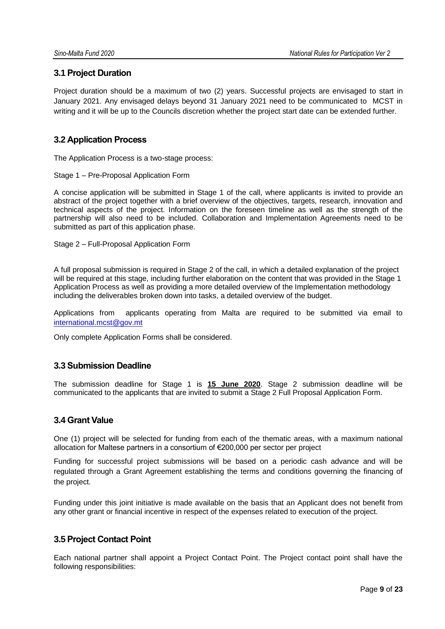## <span id="page-10-0"></span>**3.1 Project Duration**

Project duration should be a maximum of two (2) years. Successful projects are envisaged to start in January 2021. Any envisaged delays beyond 31 January 2021 need to be communicated to MCST in writing and it will be up to the Councils discretion whether the project start date can be extended further.

## <span id="page-10-1"></span>**3.2 Application Process**

The Application Process is a two-stage process:

Stage 1 – Pre-Proposal Application Form

A concise application will be submitted in Stage 1 of the call, where applicants is invited to provide an abstract of the project together with a brief overview of the objectives, targets, research, innovation and technical aspects of the project. Information on the foreseen timeline as well as the strength of the partnership will also need to be included. Collaboration and Implementation Agreements need to be submitted as part of this application phase.

#### Stage 2 – Full-Proposal Application Form

A full proposal submission is required in Stage 2 of the call, in which a detailed explanation of the project will be required at this stage, including further elaboration on the content that was provided in the Stage 1 Application Process as well as providing a more detailed overview of the Implementation methodology including the deliverables broken down into tasks, a detailed overview of the budget.

Applications from applicants operating from Malta are required to be submitted via email to [international.mcst@gov.mt](mailto:international.mcst@gov.mt)

Only complete Application Forms shall be considered.

## <span id="page-10-2"></span>**3.3 Submission Deadline**

The submission deadline for Stage 1 is **15 June 2020**. Stage 2 submission deadline will be communicated to the applicants that are invited to submit a Stage 2 Full Proposal Application Form.

## <span id="page-10-3"></span>**3.4 Grant Value**

One (1) project will be selected for funding from each of the thematic areas, with a maximum national allocation for Maltese partners in a consortium of €200,000 per sector per project

Funding for successful project submissions will be based on a periodic cash advance and will be regulated through a Grant Agreement establishing the terms and conditions governing the financing of the project.

Funding under this joint initiative is made available on the basis that an Applicant does not benefit from any other grant or financial incentive in respect of the expenses related to execution of the project.

## <span id="page-10-4"></span>**3.5 Project Contact Point**

Each national partner shall appoint a Project Contact Point. The Project contact point shall have the following responsibilities: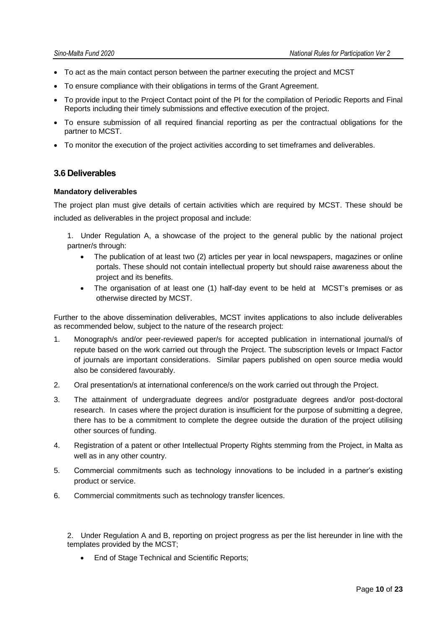- To act as the main contact person between the partner executing the project and MCST
- To ensure compliance with their obligations in terms of the Grant Agreement.
- To provide input to the Project Contact point of the PI for the compilation of Periodic Reports and Final Reports including their timely submissions and effective execution of the project.
- To ensure submission of all required financial reporting as per the contractual obligations for the partner to MCST.
- <span id="page-11-0"></span>• To monitor the execution of the project activities according to set timeframes and deliverables.

### **3.6 Deliverables**

#### **Mandatory deliverables**

The project plan must give details of certain activities which are required by MCST. These should be included as deliverables in the project proposal and include:

1. Under Regulation A, a showcase of the project to the general public by the national project partner/s through:

- The publication of at least two (2) articles per year in local newspapers, magazines or online portals. These should not contain intellectual property but should raise awareness about the project and its benefits.
- The organisation of at least one (1) half-day event to be held at MCST's premises or as otherwise directed by MCST.

Further to the above dissemination deliverables, MCST invites applications to also include deliverables as recommended below, subject to the nature of the research project:

- 1. Monograph/s and/or peer-reviewed paper/s for accepted publication in international journal/s of repute based on the work carried out through the Project. The subscription levels or Impact Factor of journals are important considerations. Similar papers published on open source media would also be considered favourably.
- 2. Oral presentation/s at international conference/s on the work carried out through the Project.
- 3. The attainment of undergraduate degrees and/or postgraduate degrees and/or post-doctoral research. In cases where the project duration is insufficient for the purpose of submitting a degree, there has to be a commitment to complete the degree outside the duration of the project utilising other sources of funding.
- 4. Registration of a patent or other Intellectual Property Rights stemming from the Project, in Malta as well as in any other country.
- 5. Commercial commitments such as technology innovations to be included in a partner's existing product or service.
- 6. Commercial commitments such as technology transfer licences.

2. Under Regulation A and B, reporting on project progress as per the list hereunder in line with the templates provided by the MCST;

• End of Stage Technical and Scientific Reports;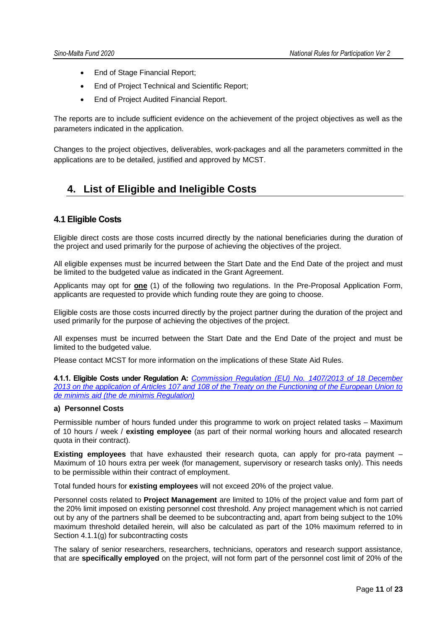- End of Stage Financial Report;
- End of Project Technical and Scientific Report;
- End of Project Audited Financial Report.

The reports are to include sufficient evidence on the achievement of the project objectives as well as the parameters indicated in the application.

Changes to the project objectives, deliverables, work-packages and all the parameters committed in the applications are to be detailed, justified and approved by MCST.

## <span id="page-12-0"></span>**4. List of Eligible and Ineligible Costs**

## <span id="page-12-1"></span>**4.1 Eligible Costs**

Eligible direct costs are those costs incurred directly by the national beneficiaries during the duration of the project and used primarily for the purpose of achieving the objectives of the project.

All eligible expenses must be incurred between the Start Date and the End Date of the project and must be limited to the budgeted value as indicated in the Grant Agreement.

Applicants may opt for **one** (1) of the following two regulations. In the Pre-Proposal Application Form, applicants are requested to provide which funding route they are going to choose.

Eligible costs are those costs incurred directly by the project partner during the duration of the project and used primarily for the purpose of achieving the objectives of the project.

All expenses must be incurred between the Start Date and the End Date of the project and must be limited to the budgeted value.

Please contact MCST for more information on the implications of these State Aid Rules.

**4.1.1. Eligible Costs under Regulation A:** *[Commission Regulation \(EU\) No. 1407/2013 of 18 December](http://ec.europa.eu/competition/state_aid/legislation/de_minimis_regulation_en.pdf)  [2013 on the application of Articles 107 and 108 of the Treaty on the Functioning of the European Union to](http://ec.europa.eu/competition/state_aid/legislation/de_minimis_regulation_en.pdf)  [de minimis aid \(the de minimis Regulation\)](http://ec.europa.eu/competition/state_aid/legislation/de_minimis_regulation_en.pdf)*

#### **a) Personnel Costs**

Permissible number of hours funded under this programme to work on project related tasks – Maximum of 10 hours / week / **existing employee** (as part of their normal working hours and allocated research quota in their contract).

**Existing employees** that have exhausted their research quota, can apply for pro-rata payment – Maximum of 10 hours extra per week (for management, supervisory or research tasks only). This needs to be permissible within their contract of employment.

Total funded hours for **existing employees** will not exceed 20% of the project value.

Personnel costs related to **Project Management** are limited to 10% of the project value and form part of the 20% limit imposed on existing personnel cost threshold. Any project management which is not carried out by any of the partners shall be deemed to be subcontracting and, apart from being subject to the 10% maximum threshold detailed herein, will also be calculated as part of the 10% maximum referred to in Section 4.1.1(g) for subcontracting costs

The salary of senior researchers, researchers, technicians, operators and research support assistance, that are **specifically employed** on the project, will not form part of the personnel cost limit of 20% of the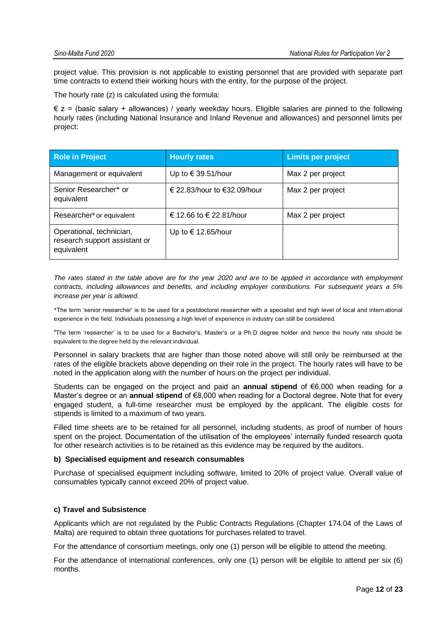project value. This provision is not applicable to existing personnel that are provided with separate part time contracts to extend their working hours with the entity, for the purpose of the project.

The hourly rate (z) is calculated using the formula:

 $\epsilon$  z = (basic salary + allowances) / yearly weekday hours. Eligible salaries are pinned to the following hourly rates (including National Insurance and Inland Revenue and allowances) and personnel limits per project:

| <b>Role in Project</b>                                                  | <b>Hourly rates</b>         | <b>Limits per project</b> |  |
|-------------------------------------------------------------------------|-----------------------------|---------------------------|--|
| Management or equivalent                                                | Up to $\in$ 39.51/hour      | Max 2 per project         |  |
| Senior Researcher* or<br>equivalent                                     | € 22.83/hour to €32.09/hour | Max 2 per project         |  |
| Researcher <sup>¥</sup> or equivalent                                   | € 12.66 to € 22.81/hour     | Max 2 per project         |  |
| Operational, technician,<br>research support assistant or<br>equivalent | Up to € 12.65/hour          |                           |  |

*The rates stated in the table above are for the year 2020 and are to be applied in accordance with employment contracts, including allowances and benefits, and including employer contributions. For subsequent years a 5% increase per year is allowed.* 

\*The term 'senior researcher' is to be used for a postdoctoral researcher with a specialist and high level of local and international experience in the field. Individuals possessing a high level of experience in industry can still be considered.

¥The term 'researcher' is to be used for a Bachelor's, Master's or a Ph.D degree holder and hence the hourly rate should be equivalent to the degree held by the relevant individual.

Personnel in salary brackets that are higher than those noted above will still only be reimbursed at the rates of the eligible brackets above depending on their role in the project. The hourly rates will have to be noted in the application along with the number of hours on the project per individual.

Students can be engaged on the project and paid an **annual stipend** of €6,000 when reading for a Master's degree or an **annual stipend** of €8,000 when reading for a Doctoral degree. Note that for every engaged student, a full-time researcher must be employed by the applicant. The eligible costs for stipends is limited to a maximum of two years.

Filled time sheets are to be retained for all personnel, including students, as proof of number of hours spent on the project. Documentation of the utilisation of the employees' internally funded research quota for other research activities is to be retained as this evidence may be required by the auditors.

#### **b) Specialised equipment and research consumables**

Purchase of specialised equipment including software, limited to 20% of project value. Overall value of consumables typically cannot exceed 20% of project value.

#### **c) Travel and Subsistence**

Applicants which are not regulated by the Public Contracts Regulations (Chapter 174.04 of the Laws of Malta) are required to obtain three quotations for purchases related to travel.

For the attendance of consortium meetings, only one (1) person will be eligible to attend the meeting.

For the attendance of international conferences, only one (1) person will be eligible to attend per six (6) months.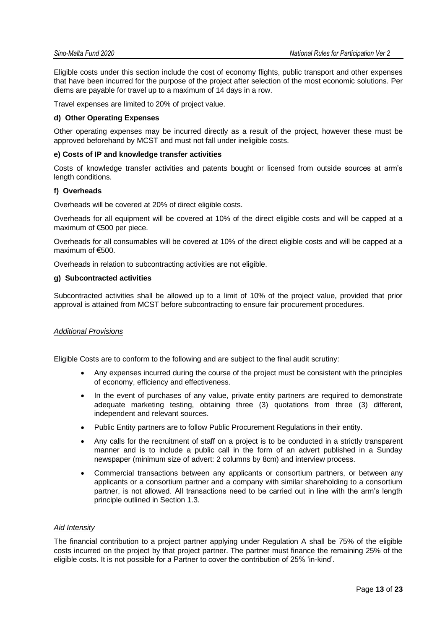Eligible costs under this section include the cost of economy flights, public transport and other expenses that have been incurred for the purpose of the project after selection of the most economic solutions. Per diems are payable for travel up to a maximum of 14 days in a row.

Travel expenses are limited to 20% of project value.

#### **d) Other Operating Expenses**

Other operating expenses may be incurred directly as a result of the project, however these must be approved beforehand by MCST and must not fall under ineligible costs.

#### **e) Costs of IP and knowledge transfer activities**

Costs of knowledge transfer activities and patents bought or licensed from outside sources at arm's length conditions.

#### **f) Overheads**

Overheads will be covered at 20% of direct eligible costs.

Overheads for all equipment will be covered at 10% of the direct eligible costs and will be capped at a maximum of €500 per piece.

Overheads for all consumables will be covered at 10% of the direct eligible costs and will be capped at a maximum of €500.

Overheads in relation to subcontracting activities are not eligible.

#### **g) Subcontracted activities**

Subcontracted activities shall be allowed up to a limit of 10% of the project value, provided that prior approval is attained from MCST before subcontracting to ensure fair procurement procedures.

#### *Additional Provisions*

Eligible Costs are to conform to the following and are subject to the final audit scrutiny:

- Any expenses incurred during the course of the project must be consistent with the principles of economy, efficiency and effectiveness.
- In the event of purchases of any value, private entity partners are required to demonstrate adequate marketing testing, obtaining three (3) quotations from three (3) different, independent and relevant sources.
- Public Entity partners are to follow Public Procurement Regulations in their entity.
- Any calls for the recruitment of staff on a project is to be conducted in a strictly transparent manner and is to include a public call in the form of an advert published in a Sunday newspaper (minimum size of advert: 2 columns by 8cm) and interview process.
- Commercial transactions between any applicants or consortium partners, or between any applicants or a consortium partner and a company with similar shareholding to a consortium partner, is not allowed. All transactions need to be carried out in line with the arm's length principle outlined in Section 1.3.

#### *Aid Intensity*

The financial contribution to a project partner applying under Regulation A shall be 75% of the eligible costs incurred on the project by that project partner. The partner must finance the remaining 25% of the eligible costs. It is not possible for a Partner to cover the contribution of 25% 'in-kind'.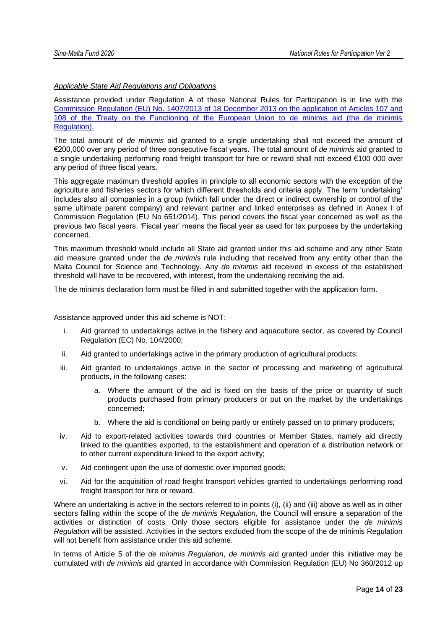#### *Applicable State Aid Regulations and Obligations*

Assistance provided under Regulation A of these National Rules for Participation is in line with the [Commission Regulation \(EU\) No. 1407/2013 of 18 December 2013 on the application of Articles 107 and](http://ec.europa.eu/competition/state_aid/legislation/de_minimis_regulation_en.pdf)  [108 of the Treaty on the Functioning of the European Union to de minimis aid \(the de minimis](http://ec.europa.eu/competition/state_aid/legislation/de_minimis_regulation_en.pdf)  [Regulation\).](http://ec.europa.eu/competition/state_aid/legislation/de_minimis_regulation_en.pdf)

The total amount of *de minimis* aid granted to a single undertaking shall not exceed the amount of €200,000 over any period of three consecutive fiscal years. The total amount of *de minimis* aid granted to a single undertaking performing road freight transport for hire or reward shall not exceed €100 000 over any period of three fiscal years.

This aggregate maximum threshold applies in principle to all economic sectors with the exception of the agriculture and fisheries sectors for which different thresholds and criteria apply. The term 'undertaking' includes also all companies in a group (which fall under the direct or indirect ownership or control of the same ultimate parent company) and relevant partner and linked enterprises as defined in Annex I of Commission Regulation (EU No 651/2014). This period covers the fiscal year concerned as well as the previous two fiscal years. 'Fiscal year' means the fiscal year as used for tax purposes by the undertaking concerned.

This maximum threshold would include all State aid granted under this aid scheme and any other State aid measure granted under the *de minimis* rule including that received from any entity other than the Malta Council for Science and Technology. Any *de minimis* aid received in excess of the established threshold will have to be recovered, with interest, from the undertaking receiving the aid.

The de minimis declaration form must be filled in and submitted together with the application form.

Assistance approved under this aid scheme is NOT:

- i. Aid granted to undertakings active in the fishery and aquaculture sector, as covered by Council Regulation (EC) No. 104/2000;
- ii. Aid granted to undertakings active in the primary production of agricultural products;
- iii. Aid granted to undertakings active in the sector of processing and marketing of agricultural products, in the following cases:
	- a. Where the amount of the aid is fixed on the basis of the price or quantity of such products purchased from primary producers or put on the market by the undertakings concerned;
	- b. Where the aid is conditional on being partly or entirely passed on to primary producers;
- iv. Aid to export-related activities towards third countries or Member States, namely aid directly linked to the quantities exported, to the establishment and operation of a distribution network or to other current expenditure linked to the export activity;
- v. Aid contingent upon the use of domestic over imported goods;
- vi. Aid for the acquisition of road freight transport vehicles granted to undertakings performing road freight transport for hire or reward.

Where an undertaking is active in the sectors referred to in points (i), (ii) and (iii) above as well as in other sectors falling within the scope of the *de minimis Regulation*, the Council will ensure a separation of the activities or distinction of costs. Only those sectors eligible for assistance under the *de minimis Regulation* will be assisted. Activities in the sectors excluded from the scope of the de minimis Regulation will not benefit from assistance under this aid scheme.

In terms of Article 5 of the *de minimis Regulation*, *de minimis* aid granted under this initiative may be cumulated with *de minimis* aid granted in accordance with Commission Regulation (EU) No 360/2012 up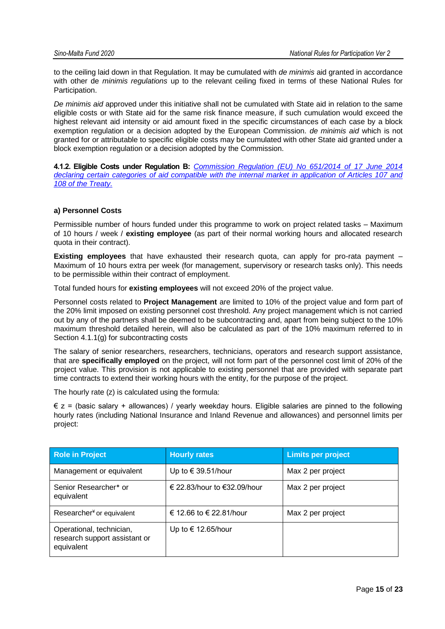to the ceiling laid down in that Regulation. It may be cumulated with *de minimis* aid granted in accordance with other de *minimis regulations* up to the relevant ceiling fixed in terms of these National Rules for Participation.

*De minimis aid* approved under this initiative shall not be cumulated with State aid in relation to the same eligible costs or with State aid for the same risk finance measure, if such cumulation would exceed the highest relevant aid intensity or aid amount fixed in the specific circumstances of each case by a block exemption regulation or a decision adopted by the European Commission. *de minimis aid* which is not granted for or attributable to specific eligible costs may be cumulated with other State aid granted under a block exemption regulation or a decision adopted by the Commission.

**4.1.2. Eligible Costs under Regulation B:** *[Commission Regulation \(EU\) No 651/2014 of 17 June 2014](https://eur-lex.europa.eu/legal-content/EN/TXT/PDF/?uri=CELEX:32014R0651&from=EN)  [declaring certain categories of aid compatible with the internal market in application of Articles 107 and](https://eur-lex.europa.eu/legal-content/EN/TXT/PDF/?uri=CELEX:32014R0651&from=EN) [108 of the Treaty.](https://eur-lex.europa.eu/legal-content/EN/TXT/PDF/?uri=CELEX:32014R0651&from=EN)*

### **a) Personnel Costs**

Permissible number of hours funded under this programme to work on project related tasks – Maximum of 10 hours / week / **existing employee** (as part of their normal working hours and allocated research quota in their contract).

**Existing employees** that have exhausted their research quota, can apply for pro-rata payment – Maximum of 10 hours extra per week (for management, supervisory or research tasks only). This needs to be permissible within their contract of employment.

Total funded hours for **existing employees** will not exceed 20% of the project value.

Personnel costs related to **Project Management** are limited to 10% of the project value and form part of the 20% limit imposed on existing personnel cost threshold. Any project management which is not carried out by any of the partners shall be deemed to be subcontracting and, apart from being subject to the 10% maximum threshold detailed herein, will also be calculated as part of the 10% maximum referred to in Section 4.1.1(g) for subcontracting costs

The salary of senior researchers, researchers, technicians, operators and research support assistance, that are **specifically employed** on the project, will not form part of the personnel cost limit of 20% of the project value. This provision is not applicable to existing personnel that are provided with separate part time contracts to extend their working hours with the entity, for the purpose of the project.

The hourly rate (z) is calculated using the formula:

 $\epsilon$  z = (basic salary + allowances) / yearly weekday hours. Eligible salaries are pinned to the following hourly rates (including National Insurance and Inland Revenue and allowances) and personnel limits per project:

| Role in Project                                                         | <b>Hourly rates</b>         | <b>Limits per project</b> |  |
|-------------------------------------------------------------------------|-----------------------------|---------------------------|--|
| Management or equivalent                                                | Up to $\in$ 39.51/hour      | Max 2 per project         |  |
| Senior Researcher* or<br>equivalent                                     | € 22.83/hour to €32.09/hour | Max 2 per project         |  |
| Researcher <sup>*</sup> or equivalent                                   | € 12.66 to € 22.81/hour     | Max 2 per project         |  |
| Operational, technician,<br>research support assistant or<br>equivalent | Up to € 12.65/hour          |                           |  |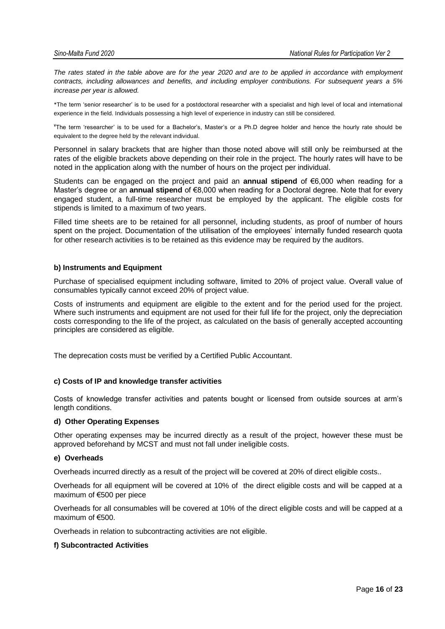*The rates stated in the table above are for the year 2020 and are to be applied in accordance with employment contracts, including allowances and benefits, and including employer contributions. For subsequent years a 5% increase per year is allowed.* 

\*The term 'senior researcher' is to be used for a postdoctoral researcher with a specialist and high level of local and international experience in the field. Individuals possessing a high level of experience in industry can still be considered.

¥The term 'researcher' is to be used for a Bachelor's, Master's or a Ph.D degree holder and hence the hourly rate should be equivalent to the degree held by the relevant individual.

Personnel in salary brackets that are higher than those noted above will still only be reimbursed at the rates of the eligible brackets above depending on their role in the project. The hourly rates will have to be noted in the application along with the number of hours on the project per individual.

Students can be engaged on the project and paid an **annual stipend** of €6,000 when reading for a Master's degree or an **annual stipend** of €8,000 when reading for a Doctoral degree. Note that for every engaged student, a full-time researcher must be employed by the applicant. The eligible costs for stipends is limited to a maximum of two years.

Filled time sheets are to be retained for all personnel, including students, as proof of number of hours spent on the project. Documentation of the utilisation of the employees' internally funded research quota for other research activities is to be retained as this evidence may be required by the auditors.

#### **b) Instruments and Equipment**

Purchase of specialised equipment including software, limited to 20% of project value. Overall value of consumables typically cannot exceed 20% of project value.

Costs of instruments and equipment are eligible to the extent and for the period used for the project. Where such instruments and equipment are not used for their full life for the project, only the depreciation costs corresponding to the life of the project, as calculated on the basis of generally accepted accounting principles are considered as eligible.

The deprecation costs must be verified by a Certified Public Accountant.

#### **c) Costs of IP and knowledge transfer activities**

Costs of knowledge transfer activities and patents bought or licensed from outside sources at arm's length conditions.

#### **d) Other Operating Expenses**

Other operating expenses may be incurred directly as a result of the project, however these must be approved beforehand by MCST and must not fall under ineligible costs.

#### **e) Overheads**

Overheads incurred directly as a result of the project will be covered at 20% of direct eligible costs..

Overheads for all equipment will be covered at 10% of the direct eligible costs and will be capped at a maximum of €500 per piece

Overheads for all consumables will be covered at 10% of the direct eligible costs and will be capped at a maximum of €500.

Overheads in relation to subcontracting activities are not eligible.

#### **f) Subcontracted Activities**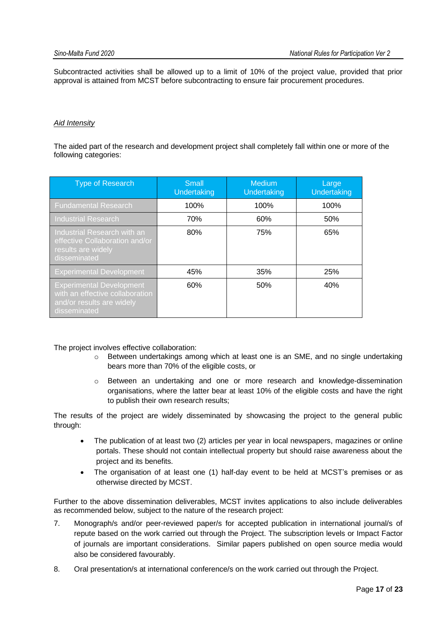Subcontracted activities shall be allowed up to a limit of 10% of the project value, provided that prior approval is attained from MCST before subcontracting to ensure fair procurement procedures.

#### *Aid Intensity*

The aided part of the research and development project shall completely fall within one or more of the following categories:

| <b>Type of Research</b>                                                                                         | Small<br>Undertaking | Medium<br>Undertaking | Large<br>Undertaking |
|-----------------------------------------------------------------------------------------------------------------|----------------------|-----------------------|----------------------|
| <b>Fundamental Research</b>                                                                                     | 100%                 | 100%                  | 100%                 |
| <b>Industrial Research</b>                                                                                      | 70%                  | 60%                   | 50%                  |
| Industrial Research with an<br>effective Collaboration and/or<br>results are widely<br>disseminated             | 80%                  | 75%                   | 65%                  |
| <b>Experimental Development</b>                                                                                 | 45%                  | 35%                   | 25%                  |
| <b>Experimental Development</b><br>with an effective collaboration<br>and/or results are widely<br>disseminated | 60%                  | 50%                   | 40%                  |

The project involves effective collaboration:

- o Between undertakings among which at least one is an SME, and no single undertaking bears more than 70% of the eligible costs, or
- o Between an undertaking and one or more research and knowledge-dissemination organisations, where the latter bear at least 10% of the eligible costs and have the right to publish their own research results;

The results of the project are widely disseminated by showcasing the project to the general public through:

- The publication of at least two (2) articles per year in local newspapers, magazines or online portals. These should not contain intellectual property but should raise awareness about the project and its benefits.
- The organisation of at least one (1) half-day event to be held at MCST's premises or as otherwise directed by MCST.

Further to the above dissemination deliverables, MCST invites applications to also include deliverables as recommended below, subject to the nature of the research project:

- 7. Monograph/s and/or peer-reviewed paper/s for accepted publication in international journal/s of repute based on the work carried out through the Project. The subscription levels or Impact Factor of journals are important considerations. Similar papers published on open source media would also be considered favourably.
- 8. Oral presentation/s at international conference/s on the work carried out through the Project.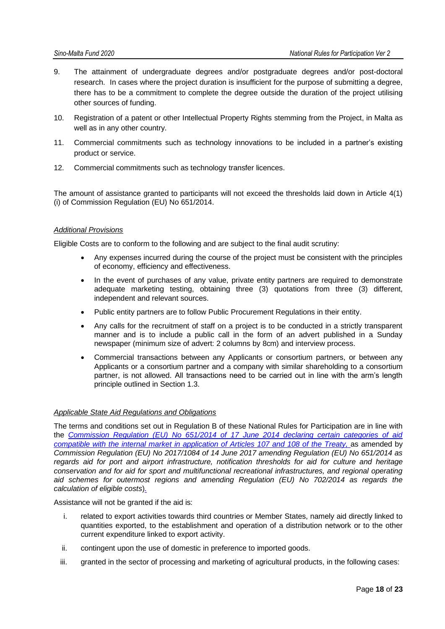- 9. The attainment of undergraduate degrees and/or postgraduate degrees and/or post-doctoral research. In cases where the project duration is insufficient for the purpose of submitting a degree, there has to be a commitment to complete the degree outside the duration of the project utilising other sources of funding.
- 10. Registration of a patent or other Intellectual Property Rights stemming from the Project, in Malta as well as in any other country.
- 11. Commercial commitments such as technology innovations to be included in a partner's existing product or service.
- 12. Commercial commitments such as technology transfer licences.

The amount of assistance granted to participants will not exceed the thresholds laid down in Article 4(1) (i) of Commission Regulation (EU) No 651/2014.

#### *Additional Provisions*

Eligible Costs are to conform to the following and are subject to the final audit scrutiny:

- Any expenses incurred during the course of the project must be consistent with the principles of economy, efficiency and effectiveness.
- In the event of purchases of any value, private entity partners are required to demonstrate adequate marketing testing, obtaining three (3) quotations from three (3) different, independent and relevant sources.
- Public entity partners are to follow Public Procurement Regulations in their entity.
- Any calls for the recruitment of staff on a project is to be conducted in a strictly transparent manner and is to include a public call in the form of an advert published in a Sunday newspaper (minimum size of advert: 2 columns by 8cm) and interview process.
- Commercial transactions between any Applicants or consortium partners, or between any Applicants or a consortium partner and a company with similar shareholding to a consortium partner, is not allowed. All transactions need to be carried out in line with the arm's length principle outlined in Section 1.3.

#### *Applicable State Aid Regulations and Obligations*

The terms and conditions set out in Regulation B of these National Rules for Participation are in line with the *[Commission Regulation \(EU\) No 651/2014 of 17 June 2014 declaring certain categories of aid](https://eur-lex.europa.eu/legal-content/EN/TXT/PDF/?uri=CELEX:32014R0651&from=EN)  [compatible with the internal market in application of Articles 107 and 108 of the Treaty,](https://eur-lex.europa.eu/legal-content/EN/TXT/PDF/?uri=CELEX:32014R0651&from=EN) as amended by [Commission Regulation \(EU\) No 2017/1084 of 14 June 2017 amending Regulation \(EU\) No 651/2014 as](https://eur-lex.europa.eu/legal-content/EN/TXT/PDF/?uri=CELEX:32014R0651&from=EN)  [regards aid for port and airport infrastructure, notification thresholds for aid for culture and heritage](https://eur-lex.europa.eu/legal-content/EN/TXT/PDF/?uri=CELEX:32014R0651&from=EN)  [conservation and for aid for sport and multifunctional recreational infrastructures, and regional operating](https://eur-lex.europa.eu/legal-content/EN/TXT/PDF/?uri=CELEX:32014R0651&from=EN)  [aid schemes for outermost regions and amending Regulation \(EU\) No 702/2014 as regards the](https://eur-lex.europa.eu/legal-content/EN/TXT/PDF/?uri=CELEX:32014R0651&from=EN)  [calculation of eligible costs](https://eur-lex.europa.eu/legal-content/EN/TXT/PDF/?uri=CELEX:32014R0651&from=EN)*)*.*

Assistance will not be granted if the aid is:

- i. related to export activities towards third countries or Member States, namely aid directly linked to quantities exported, to the establishment and operation of a distribution network or to the other current expenditure linked to export activity.
- ii. contingent upon the use of domestic in preference to imported goods.
- iii. granted in the sector of processing and marketing of agricultural products, in the following cases: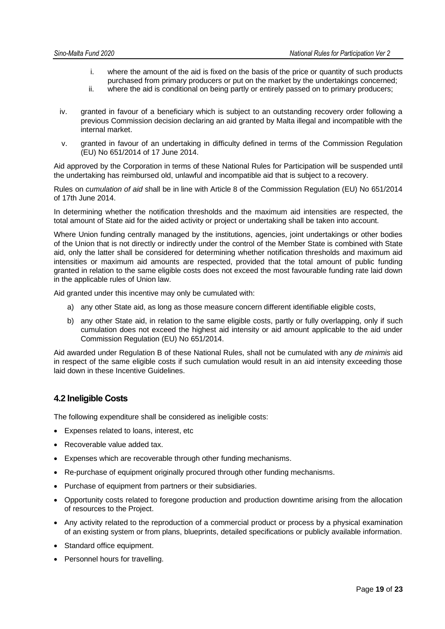- i. where the amount of the aid is fixed on the basis of the price or quantity of such products purchased from primary producers or put on the market by the undertakings concerned;
- ii. where the aid is conditional on being partly or entirely passed on to primary producers;
- iv. granted in favour of a beneficiary which is subject to an outstanding recovery order following a previous Commission decision declaring an aid granted by Malta illegal and incompatible with the internal market.
- v. granted in favour of an undertaking in difficulty defined in terms of the Commission Regulation (EU) No 651/2014 of 17 June 2014.

Aid approved by the Corporation in terms of these National Rules for Participation will be suspended until the undertaking has reimbursed old, unlawful and incompatible aid that is subject to a recovery.

Rules on *cumulation of aid* shall be in line with Article 8 of the Commission Regulation (EU) No 651/2014 of 17th June 2014.

In determining whether the notification thresholds and the maximum aid intensities are respected, the total amount of State aid for the aided activity or project or undertaking shall be taken into account.

Where Union funding centrally managed by the institutions, agencies, joint undertakings or other bodies of the Union that is not directly or indirectly under the control of the Member State is combined with State aid, only the latter shall be considered for determining whether notification thresholds and maximum aid intensities or maximum aid amounts are respected, provided that the total amount of public funding granted in relation to the same eligible costs does not exceed the most favourable funding rate laid down in the applicable rules of Union law.

Aid granted under this incentive may only be cumulated with:

- a) any other State aid, as long as those measure concern different identifiable eligible costs,
- b) any other State aid, in relation to the same eligible costs, partly or fully overlapping, only if such cumulation does not exceed the highest aid intensity or aid amount applicable to the aid under Commission Regulation (EU) No 651/2014.

Aid awarded under Regulation B of these National Rules, shall not be cumulated with any *de minimis* aid in respect of the same eligible costs if such cumulation would result in an aid intensity exceeding those laid down in these Incentive Guidelines.

## <span id="page-20-0"></span>**4.2 Ineligible Costs**

The following expenditure shall be considered as ineligible costs:

- Expenses related to loans, interest, etc
- Recoverable value added tax.
- Expenses which are recoverable through other funding mechanisms.
- Re-purchase of equipment originally procured through other funding mechanisms.
- Purchase of equipment from partners or their subsidiaries.
- Opportunity costs related to foregone production and production downtime arising from the allocation of resources to the Project.
- Any activity related to the reproduction of a commercial product or process by a physical examination of an existing system or from plans, blueprints, detailed specifications or publicly available information.
- Standard office equipment.
- Personnel hours for travelling.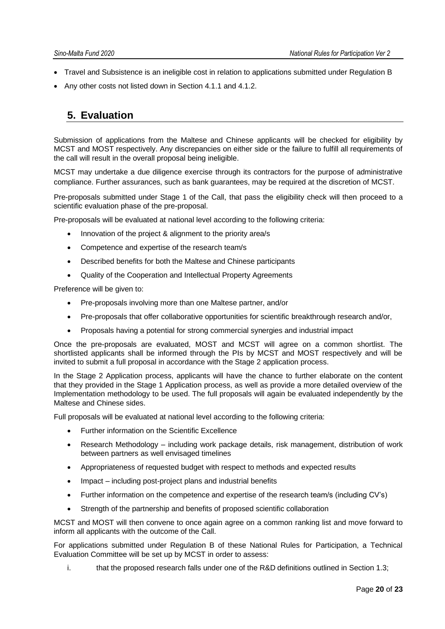- Travel and Subsistence is an ineligible cost in relation to applications submitted under Regulation B
- Any other costs not listed down in Section 4.1.1 and 4.1.2.

## <span id="page-21-0"></span>**5. Evaluation**

Submission of applications from the Maltese and Chinese applicants will be checked for eligibility by MCST and MOST respectively. Any discrepancies on either side or the failure to fulfill all requirements of the call will result in the overall proposal being ineligible.

MCST may undertake a due diligence exercise through its contractors for the purpose of administrative compliance. Further assurances, such as bank guarantees, may be required at the discretion of MCST.

Pre-proposals submitted under Stage 1 of the Call, that pass the eligibility check will then proceed to a scientific evaluation phase of the pre-proposal.

Pre-proposals will be evaluated at national level according to the following criteria:

- Innovation of the project & alignment to the priority area/s
- Competence and expertise of the research team/s
- Described benefits for both the Maltese and Chinese participants
- Quality of the Cooperation and Intellectual Property Agreements

Preference will be given to:

- Pre-proposals involving more than one Maltese partner, and/or
- Pre-proposals that offer collaborative opportunities for scientific breakthrough research and/or,
- Proposals having a potential for strong commercial synergies and industrial impact

Once the pre-proposals are evaluated, MOST and MCST will agree on a common shortlist. The shortlisted applicants shall be informed through the PIs by MCST and MOST respectively and will be invited to submit a full proposal in accordance with the Stage 2 application process.

In the Stage 2 Application process, applicants will have the chance to further elaborate on the content that they provided in the Stage 1 Application process, as well as provide a more detailed overview of the Implementation methodology to be used. The full proposals will again be evaluated independently by the Maltese and Chinese sides.

Full proposals will be evaluated at national level according to the following criteria:

- Further information on the Scientific Excellence
- Research Methodology including work package details, risk management, distribution of work between partners as well envisaged timelines
- Appropriateness of requested budget with respect to methods and expected results
- Impact including post-project plans and industrial benefits
- Further information on the competence and expertise of the research team/s (including CV's)
- Strength of the partnership and benefits of proposed scientific collaboration

MCST and MOST will then convene to once again agree on a common ranking list and move forward to inform all applicants with the outcome of the Call.

For applications submitted under Regulation B of these National Rules for Participation, a Technical Evaluation Committee will be set up by MCST in order to assess:

i. that the proposed research falls under one of the R&D definitions outlined in Section 1.3;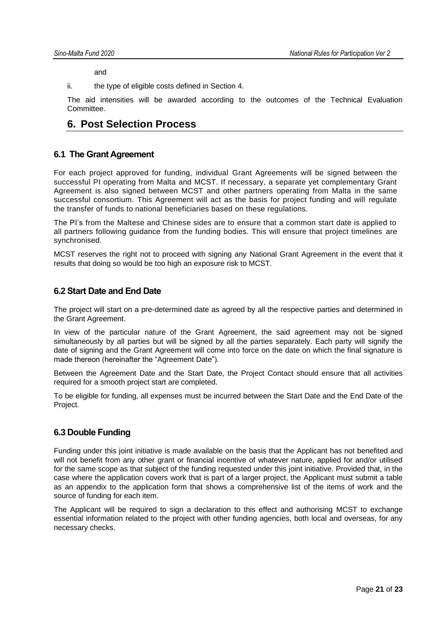and

ii. the type of eligible costs defined in Section 4.

The aid intensities will be awarded according to the outcomes of the Technical Evaluation Committee.

## <span id="page-22-0"></span>**6. Post Selection Process**

## <span id="page-22-1"></span>**6.1 The Grant Agreement**

For each project approved for funding, individual Grant Agreements will be signed between the successful PI operating from Malta and MCST. If necessary, a separate yet complementary Grant Agreement is also signed between MCST and other partners operating from Malta in the same successful consortium. This Agreement will act as the basis for project funding and will regulate the transfer of funds to national beneficiaries based on these regulations.

The PI's from the Maltese and Chinese sides are to ensure that a common start date is applied to all partners following guidance from the funding bodies. This will ensure that project timelines are synchronised.

MCST reserves the right not to proceed with signing any National Grant Agreement in the event that it results that doing so would be too high an exposure risk to MCST.

## <span id="page-22-2"></span>**6.2 Start Date and End Date**

The project will start on a pre-determined date as agreed by all the respective parties and determined in the Grant Agreement.

In view of the particular nature of the Grant Agreement, the said agreement may not be signed simultaneously by all parties but will be signed by all the parties separately. Each party will signify the date of signing and the Grant Agreement will come into force on the date on which the final signature is made thereon (hereinafter the "Agreement Date").

Between the Agreement Date and the Start Date, the Project Contact should ensure that all activities required for a smooth project start are completed.

To be eligible for funding, all expenses must be incurred between the Start Date and the End Date of the Project.

## <span id="page-22-3"></span>**6.3 Double Funding**

Funding under this joint initiative is made available on the basis that the Applicant has not benefited and will not benefit from any other grant or financial incentive of whatever nature, applied for and/or utilised for the same scope as that subject of the funding requested under this joint initiative. Provided that, in the case where the application covers work that is part of a larger project, the Applicant must submit a table as an appendix to the application form that shows a comprehensive list of the items of work and the source of funding for each item.

The Applicant will be required to sign a declaration to this effect and authorising MCST to exchange essential information related to the project with other funding agencies, both local and overseas, for any necessary checks.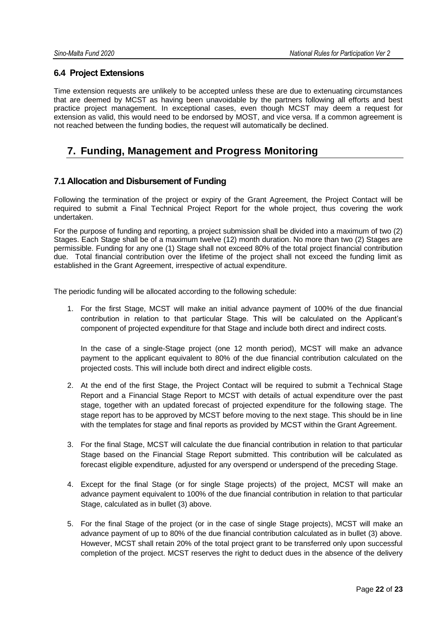## **6.4 Project Extensions**

Time extension requests are unlikely to be accepted unless these are due to extenuating circumstances that are deemed by MCST as having been unavoidable by the partners following all efforts and best practice project management. In exceptional cases, even though MCST may deem a request for extension as valid, this would need to be endorsed by MOST, and vice versa. If a common agreement is not reached between the funding bodies, the request will automatically be declined.

## <span id="page-23-0"></span>**7. Funding, Management and Progress Monitoring**

## <span id="page-23-1"></span>**7.1 Allocation and Disbursement of Funding**

Following the termination of the project or expiry of the Grant Agreement, the Project Contact will be required to submit a Final Technical Project Report for the whole project, thus covering the work undertaken.

For the purpose of funding and reporting, a project submission shall be divided into a maximum of two (2) Stages. Each Stage shall be of a maximum twelve (12) month duration. No more than two (2) Stages are permissible. Funding for any one (1) Stage shall not exceed 80% of the total project financial contribution due. Total financial contribution over the lifetime of the project shall not exceed the funding limit as established in the Grant Agreement, irrespective of actual expenditure.

The periodic funding will be allocated according to the following schedule:

1. For the first Stage, MCST will make an initial advance payment of 100% of the due financial contribution in relation to that particular Stage. This will be calculated on the Applicant's component of projected expenditure for that Stage and include both direct and indirect costs.

In the case of a single-Stage project (one 12 month period), MCST will make an advance payment to the applicant equivalent to 80% of the due financial contribution calculated on the projected costs. This will include both direct and indirect eligible costs.

- 2. At the end of the first Stage, the Project Contact will be required to submit a Technical Stage Report and a Financial Stage Report to MCST with details of actual expenditure over the past stage, together with an updated forecast of projected expenditure for the following stage. The stage report has to be approved by MCST before moving to the next stage. This should be in line with the templates for stage and final reports as provided by MCST within the Grant Agreement.
- 3. For the final Stage, MCST will calculate the due financial contribution in relation to that particular Stage based on the Financial Stage Report submitted. This contribution will be calculated as forecast eligible expenditure, adjusted for any overspend or underspend of the preceding Stage.
- 4. Except for the final Stage (or for single Stage projects) of the project, MCST will make an advance payment equivalent to 100% of the due financial contribution in relation to that particular Stage, calculated as in bullet (3) above.
- 5. For the final Stage of the project (or in the case of single Stage projects), MCST will make an advance payment of up to 80% of the due financial contribution calculated as in bullet (3) above. However, MCST shall retain 20% of the total project grant to be transferred only upon successful completion of the project. MCST reserves the right to deduct dues in the absence of the delivery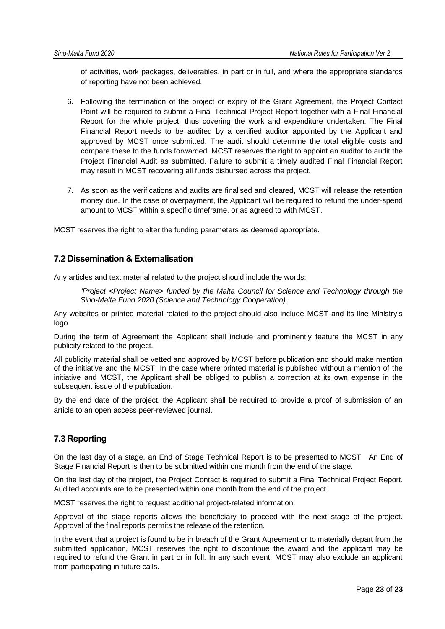of activities, work packages, deliverables, in part or in full, and where the appropriate standards of reporting have not been achieved.

- 6. Following the termination of the project or expiry of the Grant Agreement, the Project Contact Point will be required to submit a Final Technical Project Report together with a Final Financial Report for the whole project, thus covering the work and expenditure undertaken. The Final Financial Report needs to be audited by a certified auditor appointed by the Applicant and approved by MCST once submitted. The audit should determine the total eligible costs and compare these to the funds forwarded. MCST reserves the right to appoint an auditor to audit the Project Financial Audit as submitted. Failure to submit a timely audited Final Financial Report may result in MCST recovering all funds disbursed across the project.
- 7. As soon as the verifications and audits are finalised and cleared, MCST will release the retention money due. In the case of overpayment, the Applicant will be required to refund the under-spend amount to MCST within a specific timeframe, or as agreed to with MCST.

MCST reserves the right to alter the funding parameters as deemed appropriate.

### <span id="page-24-0"></span>**7.2 Dissemination & Externalisation**

Any articles and text material related to the project should include the words:

*'Project <Project Name> funded by the Malta Council for Science and Technology through the Sino-Malta Fund 2020 (Science and Technology Cooperation).* 

Any websites or printed material related to the project should also include MCST and its line Ministry's logo.

During the term of Agreement the Applicant shall include and prominently feature the MCST in any publicity related to the project.

All publicity material shall be vetted and approved by MCST before publication and should make mention of the initiative and the MCST. In the case where printed material is published without a mention of the initiative and MCST, the Applicant shall be obliged to publish a correction at its own expense in the subsequent issue of the publication.

By the end date of the project, the Applicant shall be required to provide a proof of submission of an article to an open access peer-reviewed journal.

## <span id="page-24-1"></span>**7.3 Reporting**

On the last day of a stage, an End of Stage Technical Report is to be presented to MCST. An End of Stage Financial Report is then to be submitted within one month from the end of the stage.

On the last day of the project, the Project Contact is required to submit a Final Technical Project Report. Audited accounts are to be presented within one month from the end of the project.

MCST reserves the right to request additional project-related information.

Approval of the stage reports allows the beneficiary to proceed with the next stage of the project. Approval of the final reports permits the release of the retention.

In the event that a project is found to be in breach of the Grant Agreement or to materially depart from the submitted application, MCST reserves the right to discontinue the award and the applicant may be required to refund the Grant in part or in full. In any such event, MCST may also exclude an applicant from participating in future calls.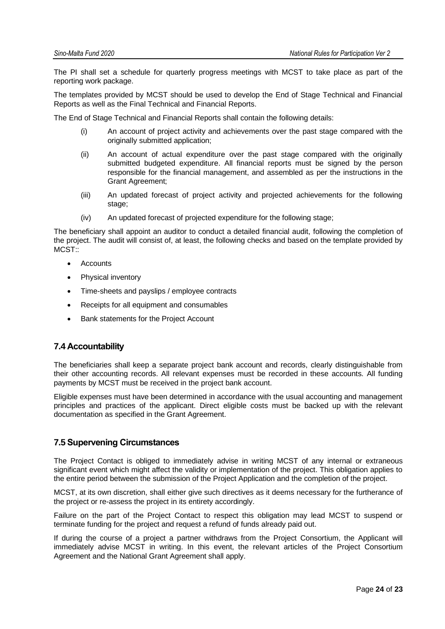The PI shall set a schedule for quarterly progress meetings with MCST to take place as part of the reporting work package.

The templates provided by MCST should be used to develop the End of Stage Technical and Financial Reports as well as the Final Technical and Financial Reports.

The End of Stage Technical and Financial Reports shall contain the following details:

- (i) An account of project activity and achievements over the past stage compared with the originally submitted application;
- (ii) An account of actual expenditure over the past stage compared with the originally submitted budgeted expenditure. All financial reports must be signed by the person responsible for the financial management, and assembled as per the instructions in the Grant Agreement;
- (iii) An updated forecast of project activity and projected achievements for the following stage;
- (iv) An updated forecast of projected expenditure for the following stage;

The beneficiary shall appoint an auditor to conduct a detailed financial audit, following the completion of the project. The audit will consist of, at least, the following checks and based on the template provided by MCST::

- **Accounts**
- Physical inventory
- Time-sheets and payslips / employee contracts
- Receipts for all equipment and consumables
- Bank statements for the Project Account

## <span id="page-25-0"></span>**7.4 Accountability**

The beneficiaries shall keep a separate project bank account and records, clearly distinguishable from their other accounting records. All relevant expenses must be recorded in these accounts. All funding payments by MCST must be received in the project bank account.

Eligible expenses must have been determined in accordance with the usual accounting and management principles and practices of the applicant. Direct eligible costs must be backed up with the relevant documentation as specified in the Grant Agreement.

## <span id="page-25-1"></span>**7.5 Supervening Circumstances**

The Project Contact is obliged to immediately advise in writing MCST of any internal or extraneous significant event which might affect the validity or implementation of the project. This obligation applies to the entire period between the submission of the Project Application and the completion of the project.

MCST, at its own discretion, shall either give such directives as it deems necessary for the furtherance of the project or re-assess the project in its entirety accordingly.

Failure on the part of the Project Contact to respect this obligation may lead MCST to suspend or terminate funding for the project and request a refund of funds already paid out.

If during the course of a project a partner withdraws from the Project Consortium, the Applicant will immediately advise MCST in writing. In this event, the relevant articles of the Project Consortium Agreement and the National Grant Agreement shall apply.